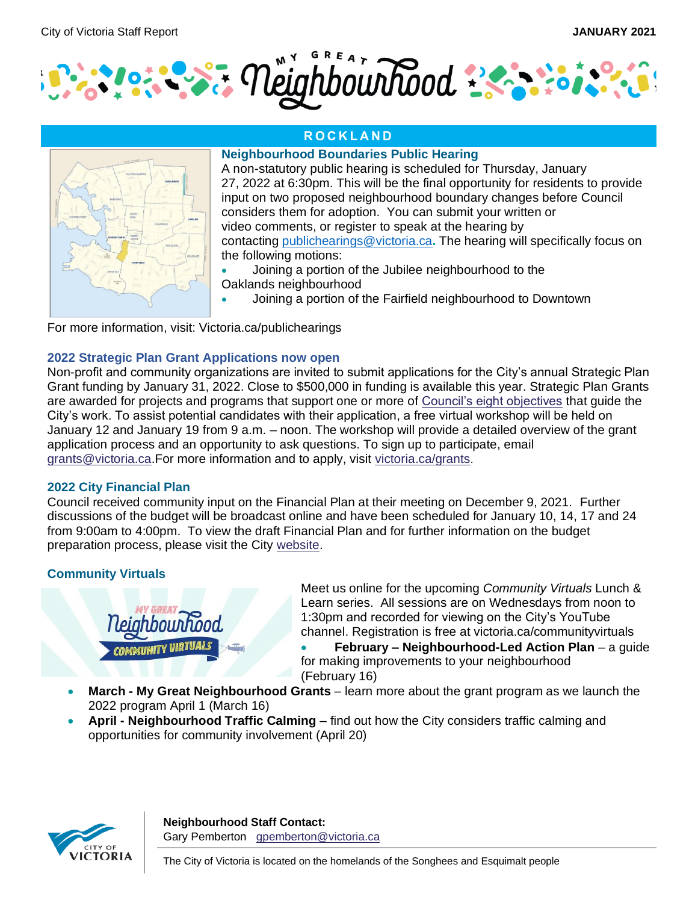

## **R O C K L A N D**



#### **Neighbourhood Boundaries Public Hearing**

A non-statutory public hearing is scheduled for Thursday, January 27, 2022 at 6:30pm. This will be the final opportunity for residents to provide input on two proposed neighbourhood boundary changes before Council considers them for adoption. You can submit your written or video comments, or register to speak at the hearing by contacting [publichearings@victoria.ca](mailto:publichearings@victoria.ca)**.** The hearing will specifically focus on the following motions:

• Joining a portion of the Jubilee neighbourhood to the Oaklands neighbourhood

• Joining a portion of the Fairfield neighbourhood to Downtown

For more information, visit: Victoria.ca/publichearings

#### **2022 Strategic Plan Grant Applications now open**

Non-profit and community organizations are invited to submit applications for the City's annual Strategic Plan Grant funding by January 31, 2022. Close to \$500,000 in funding is available this year. Strategic Plan Grants are awarded for projects and programs that support one or more of [Council's eight objectives](https://can01.safelinks.protection.outlook.com/?url=https%3A%2F%2Fwww.victoria.ca%2FEN%2Fmain%2Fcity%2Fstrategic-plan.html&data=04%7C01%7CGPemberton%40victoria.ca%7Cfa2b17f74356479974dc08d9d46a63d0%7Cd7098116c6e84d2a89eedb15b6c23375%7C0%7C0%7C637774375667771958%7CUnknown%7CTWFpbGZsb3d8eyJWIjoiMC4wLjAwMDAiLCJQIjoiV2luMzIiLCJBTiI6Ik1haWwiLCJXVCI6Mn0%3D%7C3000&sdata=2nXhBXy2iyF65lXdgVpahP5qPBqZHhXOSjlO4SSPQtY%3D&reserved=0) that guide the City's work. To assist potential candidates with their application, a free virtual workshop will be held on January 12 and January 19 from 9 a.m. – noon. The workshop will provide a detailed overview of the grant application process and an opportunity to ask questions. To sign up to participate, email [grants@victoria.ca.](mailto:grants@victoria.ca)For more information and to apply, visit [victoria.ca/grants](https://can01.safelinks.protection.outlook.com/?url=http%3A%2F%2Fwww.victoria.ca%2Fgrants&data=04%7C01%7CGPemberton%40victoria.ca%7Cfa2b17f74356479974dc08d9d46a63d0%7Cd7098116c6e84d2a89eedb15b6c23375%7C0%7C0%7C637774375667927818%7CUnknown%7CTWFpbGZsb3d8eyJWIjoiMC4wLjAwMDAiLCJQIjoiV2luMzIiLCJBTiI6Ik1haWwiLCJXVCI6Mn0%3D%7C3000&sdata=%2BpDSu9ULKs3r4P5DOlqg4HcXeHr1TL4Te3kednIVfME%3D&reserved=0).

## **2022 City Financial Plan**

Council received community input on the Financial Plan at their meeting on December 9, 2021. Further discussions of the budget will be broadcast online and have been scheduled for January 10, 14, 17 and 24 from 9:00am to 4:00pm. To view the draft Financial Plan and for further information on the budget preparation process, please visit the City [website.](https://www.victoria.ca/EN/main/city/city-budget.html)

# **Community Virtuals**



Meet us online for the upcoming *Community Virtuals* Lunch & Learn series. All sessions are on Wednesdays from noon to 1:30pm and recorded for viewing on the City's YouTube channel. Registration is free at victoria.ca/communityvirtuals

- **February – Neighbourhood-Led Action Plan** a guide for making improvements to your neighbourhood (February 16)
- **March - My Great Neighbourhood Grants** learn more about the grant program as we launch the 2022 program April 1 (March 16)
- **April - Neighbourhood Traffic Calming** find out how the City considers traffic calming and opportunities for community involvement (April 20)



**Neighbourhood Staff Contact:** Gary Pemberton [gpemberton@victoria.ca](mailto:gpemberton@victoria.ca)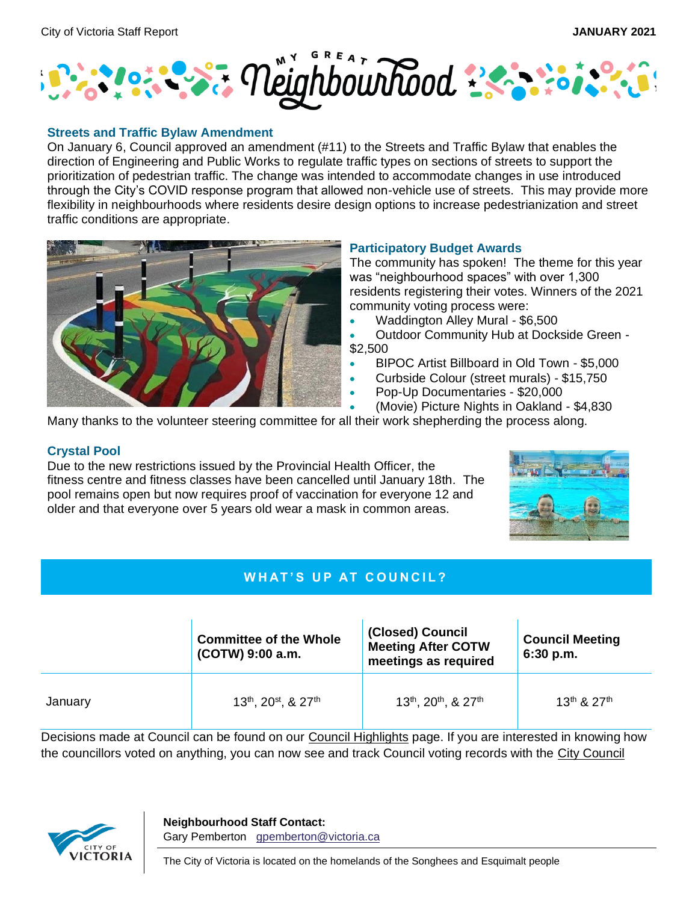

#### **Streets and Traffic Bylaw Amendment**

On January 6, Council approved an amendment (#11) to the Streets and Traffic Bylaw that enables the direction of Engineering and Public Works to regulate traffic types on sections of streets to support the prioritization of pedestrian traffic. The change was intended to accommodate changes in use introduced through the City's COVID response program that allowed non-vehicle use of streets. This may provide more flexibility in neighbourhoods where residents desire design options to increase pedestrianization and street traffic conditions are appropriate.



## **Participatory Budget Awards**

The community has spoken! The theme for this year was "neighbourhood spaces" with over 1,300 residents registering their votes. Winners of the 2021 community voting process were:

- Waddington Alley Mural \$6,500
- Outdoor Community Hub at Dockside Green \$2,500
- BIPOC Artist Billboard in Old Town \$5,000
- Curbside Colour (street murals) \$15,750
- Pop-Up Documentaries \$20,000
- (Movie) Picture Nights in Oakland \$4,830

Many thanks to the volunteer steering committee for all their work shepherding the process along.

## **Crystal Pool**

Due to the new restrictions issued by the Provincial Health Officer, the fitness centre and fitness classes have been cancelled until January 18th. The pool remains open but now requires proof of vaccination for everyone 12 and older and that everyone over 5 years old wear a mask in common areas.



# **WHAT'S UP AT COUNCIL?**

|         | <b>Committee of the Whole</b><br>(COTW) 9:00 a.m. | (Closed) Council<br><b>Meeting After COTW</b><br>meetings as required | <b>Council Meeting</b><br>6:30 p.m. |
|---------|---------------------------------------------------|-----------------------------------------------------------------------|-------------------------------------|
| January | $13^{th}$ , $20^{st}$ , & $27^{th}$               | $13^{th}$ , $20^{th}$ , & $27^{th}$                                   | $13^{th}$ & $27^{th}$               |

Decisions made at Council can be found on our [Council Highlights](https://www.victoria.ca/EN/main/city/mayor-council-committees/council-highlights.html) page. If you are interested in knowing how the councillors voted on anything, you can now see and track Council voting records with the City [Council](https://app.powerbi.com/view?r=eyJrIjoiNzRkZWY2YmMtMjNjNS00NGEyLTg5Y2ItZTQxMGY4NDhjNjNlIiwidCI6ImQ3MDk4MTE2LWM2ZTgtNGQyYS04OWVlLWRiMTViNmMyMzM3NSJ9) 



**Neighbourhood Staff Contact:** Gary Pemberton [gpemberton@victoria.ca](mailto:gpemberton@victoria.ca)